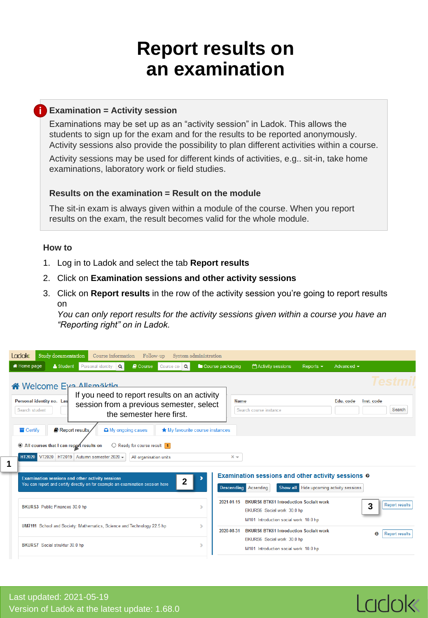## **Report results on an examination**

## **Examination = Activity session i**

Examinations may be set up as an "activity session" in Ladok. This allows the students to sign up for the exam and for the results to be reported anonymously. Activity sessions also provide the possibility to plan different activities within a course.

Activity sessions may be used for different kinds of activities, e.g.. sit-in, take home examinations, laboratory work or field studies.

## **Results on the examination = Result on the module**

The sit-in exam is always given within a module of the course. When you report results on the exam, the result becomes valid for the whole module.

## **How to**

- 1. Log in to Ladok and select the tab **Report results**
- 2. Click on **Examination sessions and other activity sessions**
- 3. Click on **Report results** in the row of the activity session you're going to report results on

*You can only report results for the activity sessions given within a course you have an "Reporting right" on in Ladok.*

| <b>Ladok</b><br>Study documentation<br>Follow-up<br>Course information                                                                                                                                                                                                                                                                                                                                                                       | System administration                                                                                                                                            |
|----------------------------------------------------------------------------------------------------------------------------------------------------------------------------------------------------------------------------------------------------------------------------------------------------------------------------------------------------------------------------------------------------------------------------------------------|------------------------------------------------------------------------------------------------------------------------------------------------------------------|
| $\alpha$<br><b>A</b> Home page<br>& Student<br>Personal identity<br><b>D</b> Course<br>Course cor                                                                                                                                                                                                                                                                                                                                            | Course packaging<br>Activity sessions<br>Advanced $\sim$<br>Reports $\sim$                                                                                       |
| Welcome Eya Allemäktig<br>If you need to report results on an activity<br>Personal identity no. Las<br>session from a previous semester, select<br>Search student<br>the semester here first.<br>$\blacksquare$ Certify<br>Report results.<br>$\Box$ My ongoing cases<br>All courses that I can report results on<br>$\bigcirc$ Ready for course result 1<br>VT2020 HT2019 Autumn semester 2020 -<br><b>HT2020</b><br>All organisation units | <b>Name</b><br>Edu. code<br>Inst. code<br>Search<br>Search course instance<br>★ My favourite course instances<br>$x -$                                           |
| 1<br>Examination sessions and other activity sessions<br>$\mathbf{2}$<br>You can report and certify directly on for example an examination session here                                                                                                                                                                                                                                                                                      | <b>Examination sessions and other activity sessions @</b><br>Show all Hide upcoming activity sessions<br><b>Descending Acsending</b>                             |
| BKURS3 Public Finances 30.0 hp                                                                                                                                                                                                                                                                                                                                                                                                               | <b>BKURS6 BTK61 Introduction Socialt work</b><br>2021-01-15<br><b>Report results</b><br>3<br>BKURS6 Social work 30.0 hp<br>M101 Introduction social work 10.0 hp |
| UM7111 School and Society: Mathematics, Science and Technology 22.5 hp                                                                                                                                                                                                                                                                                                                                                                       | <b>BKURS6 BTK61 Introduction Socialt work</b><br>2020-08-31<br>Θ<br><b>Report results</b>                                                                        |
| BKURS7 Social struktur 30.0 hp                                                                                                                                                                                                                                                                                                                                                                                                               | BKURS6 Social work 30.0 hp<br>ь<br>M101 Introduction social work 10.0 hp                                                                                         |

Ladok